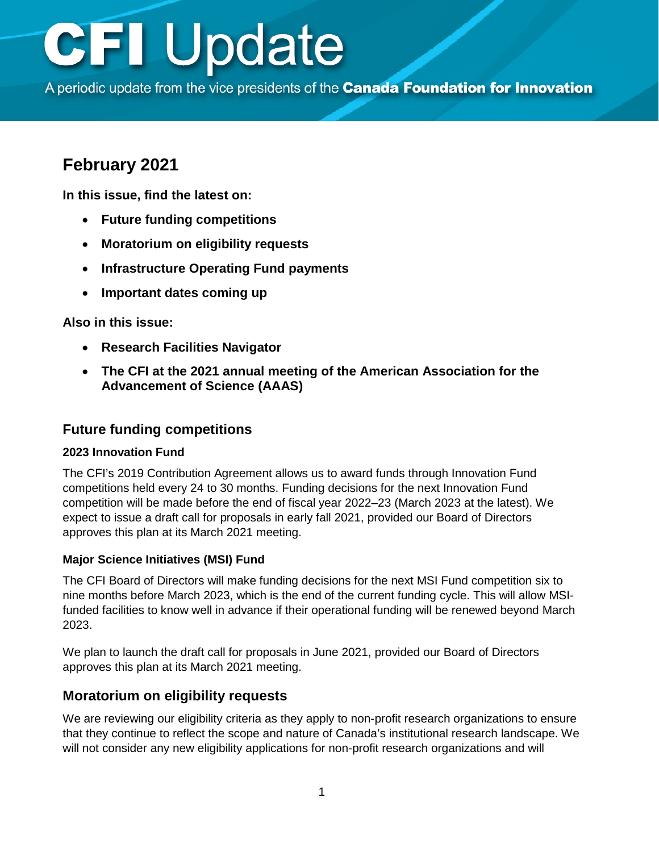A periodic update from the vice presidents of the Canada Foundation for Innovation

# **February 2021**

**In this issue, find the latest on:**

- **Future funding competitions**
- **Moratorium on eligibility requests**
- **[Infrastructure Operating Fund payments](#page-1-0)**
- **[Important dates coming up](#page-1-0)**

#### **Also in this issue:**

- **[Research Facilities Navigator](#page-1-0)**
- **The CFI at the 2021 annual meeting [of the American Association for the](#page-2-0)  Advancement of Science (AAAS)**

### **Future funding competitions**

#### **2023 Innovation Fund**

The CFI's 2019 Contribution Agreement allows us to award funds through Innovation Fund competitions held every 24 to 30 months. Funding decisions for the next Innovation Fund competition will be made before the end of fiscal year 2022–23 (March 2023 at the latest). We expect to issue a draft call for proposals in early fall 2021, provided our Board of Directors approves this plan at its March 2021 meeting.

#### **Major Science Initiatives (MSI) Fund**

The CFI Board of Directors will make funding decisions for the next MSI Fund competition six to nine months before March 2023, which is the end of the current funding cycle. This will allow MSIfunded facilities to know well in advance if their operational funding will be renewed beyond March 2023.

We plan to launch the draft call for proposals in June 2021, provided our Board of Directors approves this plan at its March 2021 meeting.

### **Moratorium on eligibility requests**

We are reviewing our eligibility criteria as they apply to non-profit research organizations to ensure that they continue to reflect the scope and nature of Canada's institutional research landscape. We will not consider any new eligibility applications for non-profit research organizations and will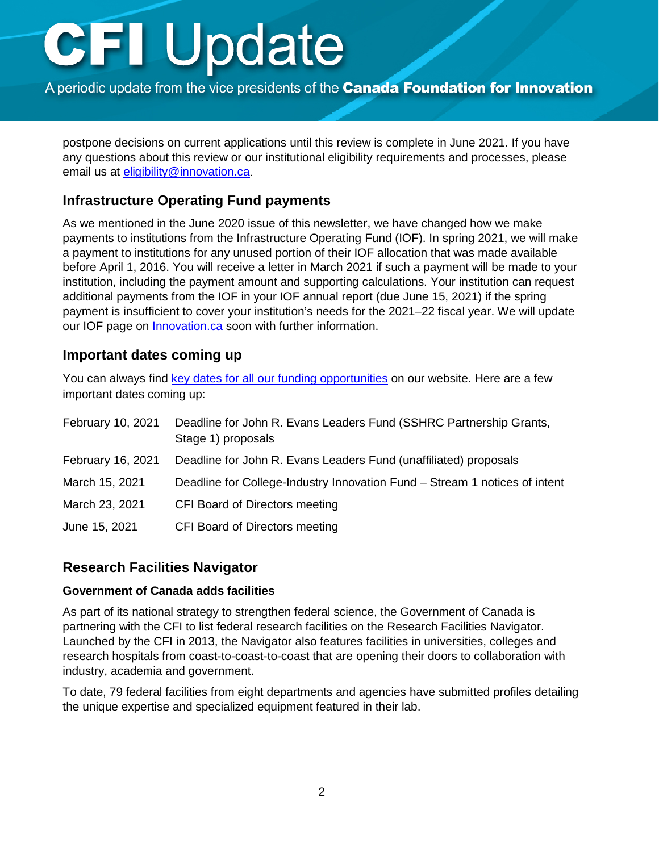<span id="page-1-0"></span>A periodic update from the vice presidents of the **Canada Foundation for Innovation** 

postpone decisions on current applications until this review is complete in June 2021. If you have any questions about this review or our institutional eligibility requirements and processes, please email us at [eligibility@innovation.ca.](mailto:eligibility@innovation.ca)

## **Infrastructure Operating Fund payments**

As we mentioned in the June 2020 issue of this newsletter, we have changed how we make payments to institutions from the Infrastructure Operating Fund (IOF). In spring 2021, we will make a payment to institutions for any unused portion of their IOF allocation that was made available before April 1, 2016. You will receive a letter in March 2021 if such a payment will be made to your institution, including the payment amount and supporting calculations. Your institution can request additional payments from the IOF in your IOF annual report (due June 15, 2021) if the spring payment is insufficient to cover your institution's needs for the 2021–22 fiscal year. We will update our IOF page on [Innovation.ca](http://www.innovation.ca/) soon with further information.

### **Important dates coming up**

You can always find key dates for all our [funding opportunities](https://www.innovation.ca/awards) on our website. Here are a few important dates coming up:

| February 10, 2021 | Deadline for John R. Evans Leaders Fund (SSHRC Partnership Grants,<br>Stage 1) proposals |
|-------------------|------------------------------------------------------------------------------------------|
| February 16, 2021 | Deadline for John R. Evans Leaders Fund (unaffiliated) proposals                         |
| March 15, 2021    | Deadline for College-Industry Innovation Fund – Stream 1 notices of intent               |
| March 23, 2021    | CFI Board of Directors meeting                                                           |
| June 15, 2021     | CFI Board of Directors meeting                                                           |

### **Research Facilities Navigator**

#### **Government of Canada adds facilities**

As part of its national strategy to strengthen federal science, the Government of Canada is partnering with the CFI to list federal research facilities on the Research Facilities Navigator. Launched by the CFI in 2013, the Navigator also features facilities in universities, colleges and research hospitals from coast-to-coast-to-coast that are opening their doors to collaboration with industry, academia and government.

To date, 79 federal facilities from eight departments and agencies have submitted profiles detailing the unique expertise and specialized equipment featured in their lab.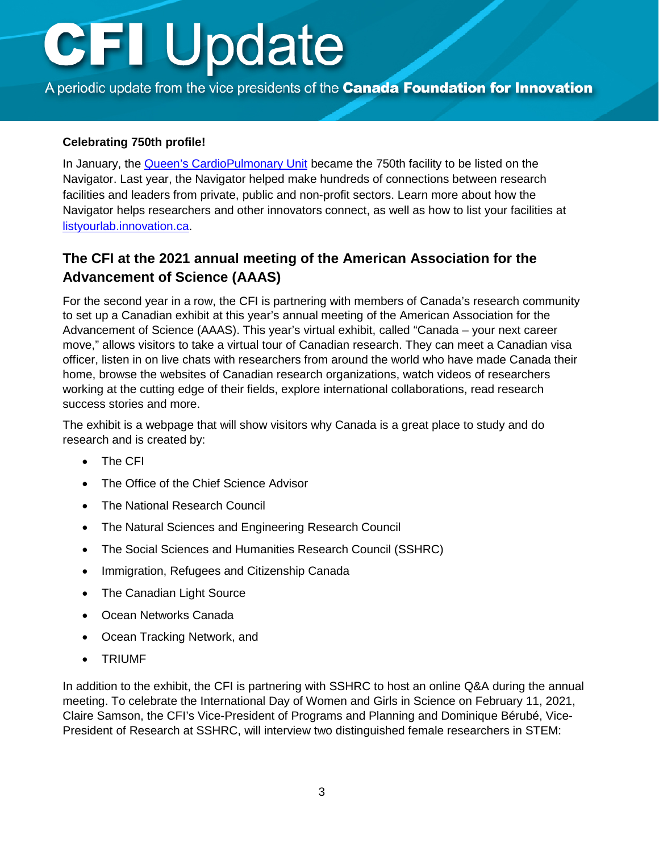<span id="page-2-0"></span>A periodic update from the vice presidents of the Canada Foundation for Innovation

#### **Celebrating 750th profile!**

In January, the [Queen's CardioPulmonary Unit](http://navigator.innovation.ca/en/facility/queens-university/queens-cardiopulmonary-unit-qcpu) became the 750th facility to be listed on the Navigator. Last year, the Navigator helped make hundreds of connections between research facilities and leaders from private, public and non-profit sectors. Learn more about how the Navigator helps researchers and other innovators connect, as well as how to list your facilities at [listyourlab.innovation.ca.](http://listyourlab.innovation.ca/)

## **The CFI at the 2021 annual meeting of the American Association for the Advancement of Science (AAAS)**

For the second year in a row, the CFI is partnering with members of Canada's research community to set up a Canadian exhibit at this year's annual meeting of the American Association for the Advancement of Science (AAAS). This year's virtual exhibit, called "Canada – your next career move," allows visitors to take a virtual tour of Canadian research. They can meet a Canadian visa officer, listen in on live chats with researchers from around the world who have made Canada their home, browse the websites of Canadian research organizations, watch videos of researchers working at the cutting edge of their fields, explore international collaborations, read research success stories and more.

The exhibit is a webpage that will show visitors why Canada is a great place to study and do research and is created by:

- The CFI
- The Office of the Chief Science Advisor
- The National Research Council
- The Natural Sciences and Engineering Research Council
- The Social Sciences and Humanities Research Council (SSHRC)
- Immigration, Refugees and Citizenship Canada
- The Canadian Light Source
- Ocean Networks Canada
- Ocean Tracking Network, and
- TRIUMF

In addition to the exhibit, the CFI is partnering with SSHRC to host an online Q&A during the annual meeting. To celebrate the International Day of Women and Girls in Science on February 11, 2021, Claire Samson, the CFI's Vice-President of Programs and Planning and Dominique Bérubé, Vice-President of Research at SSHRC, will interview two distinguished female researchers in STEM: